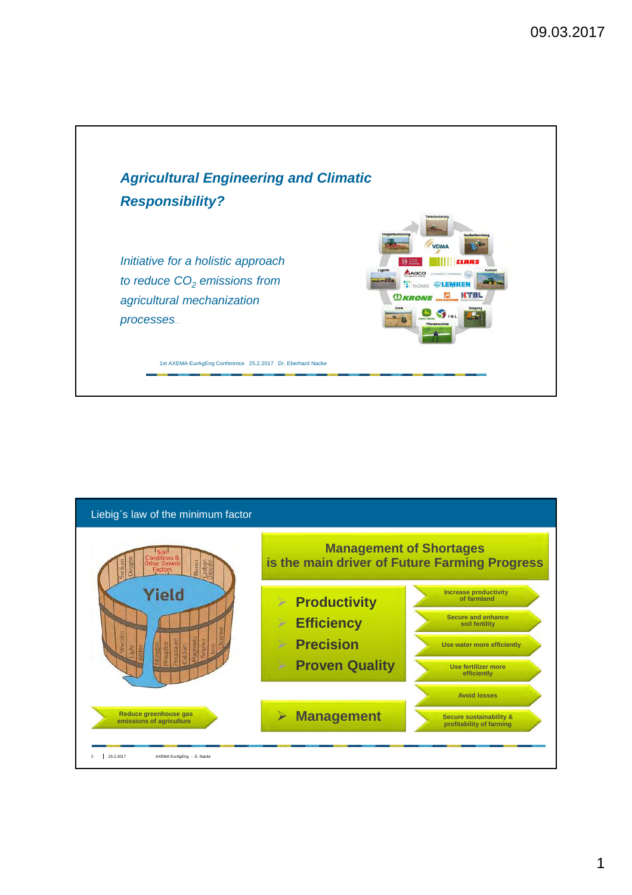

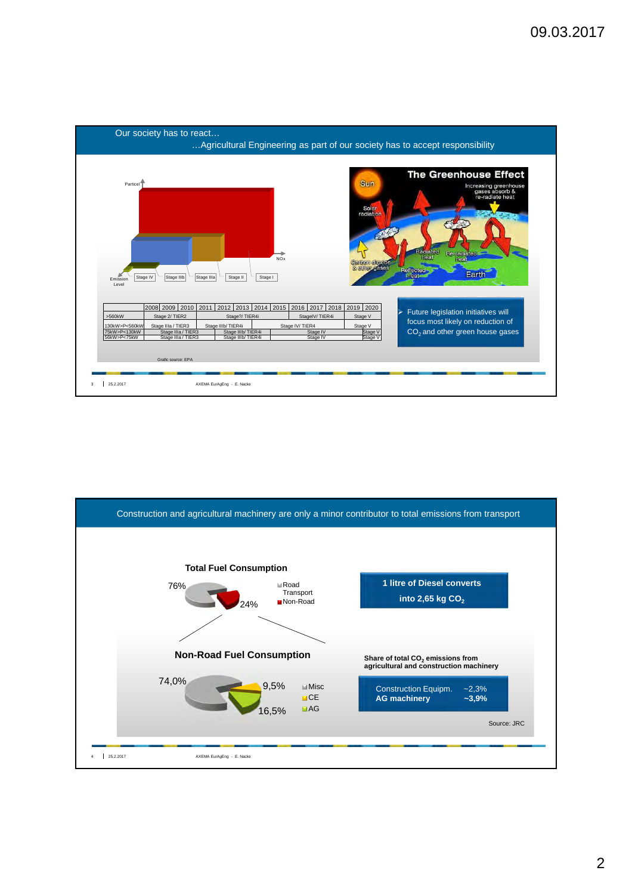

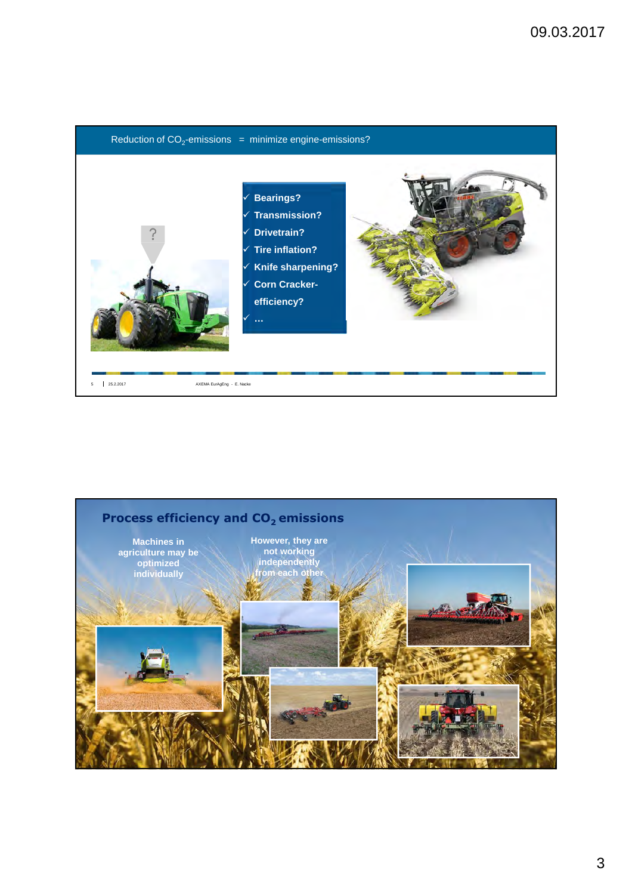

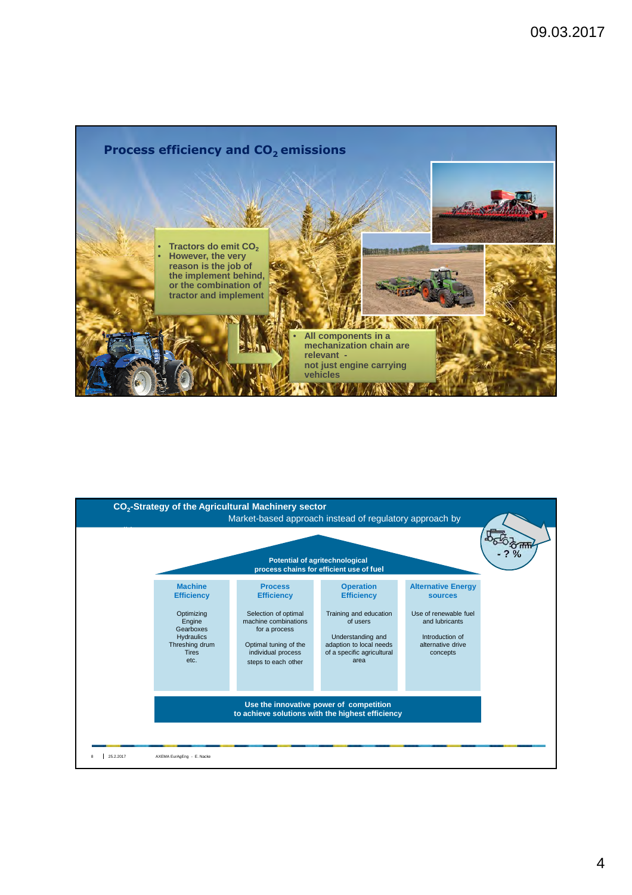

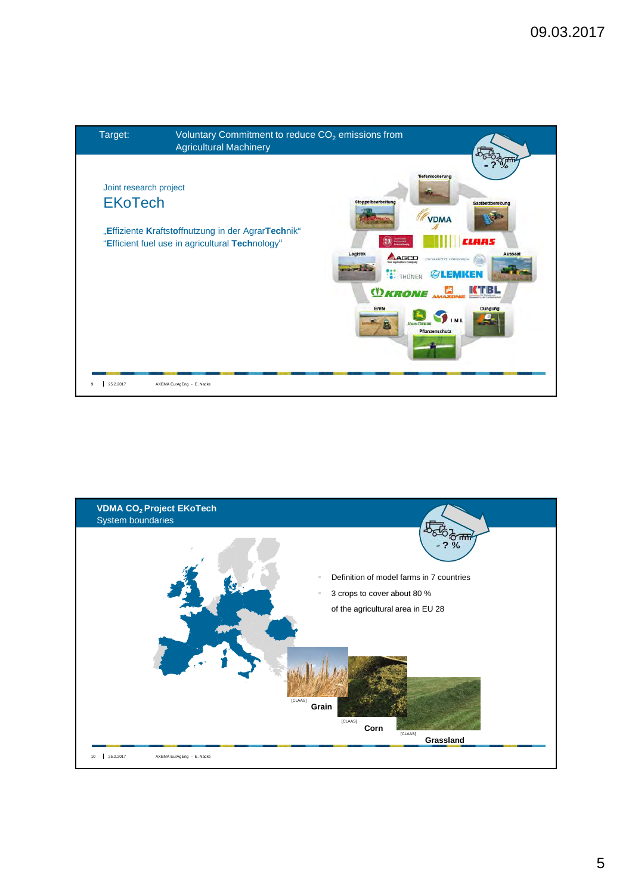

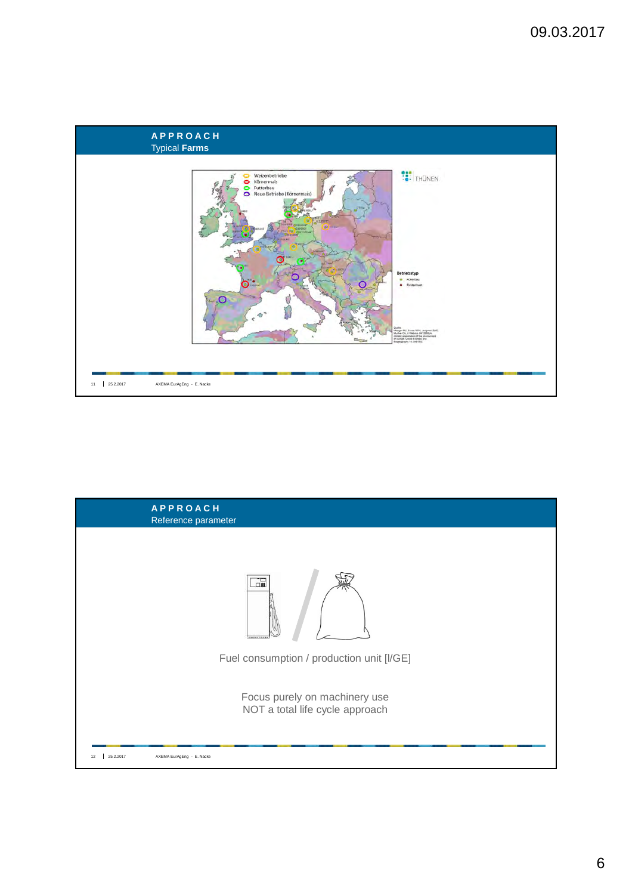

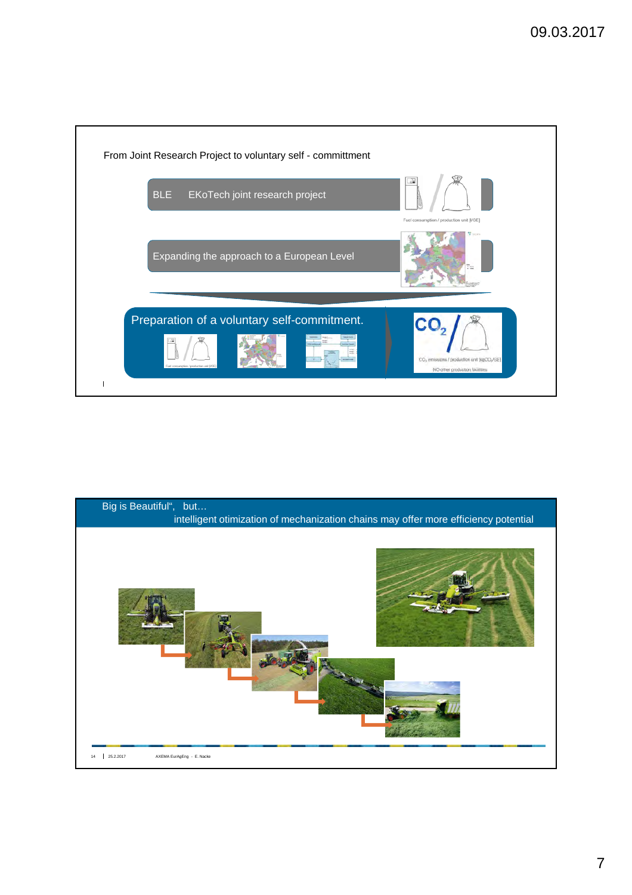

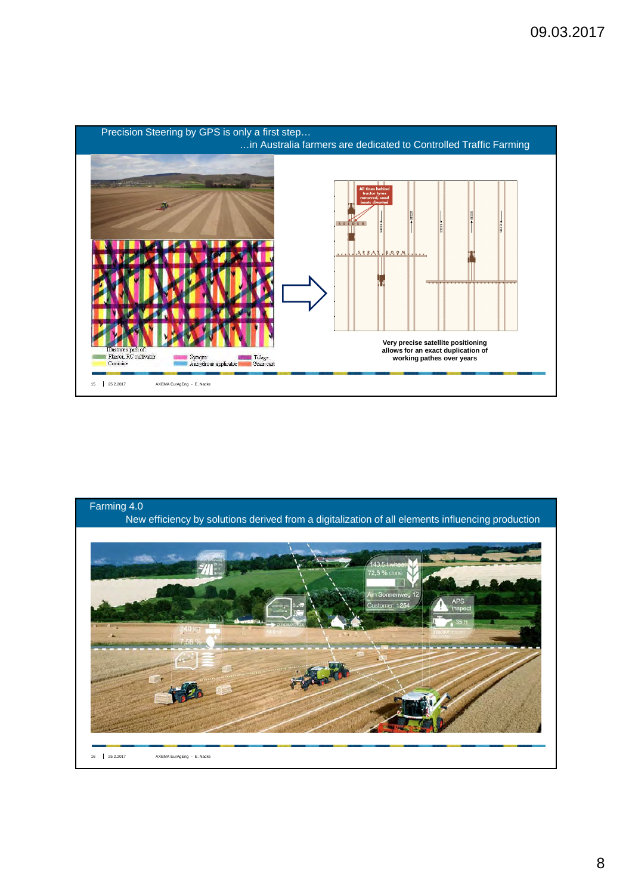



8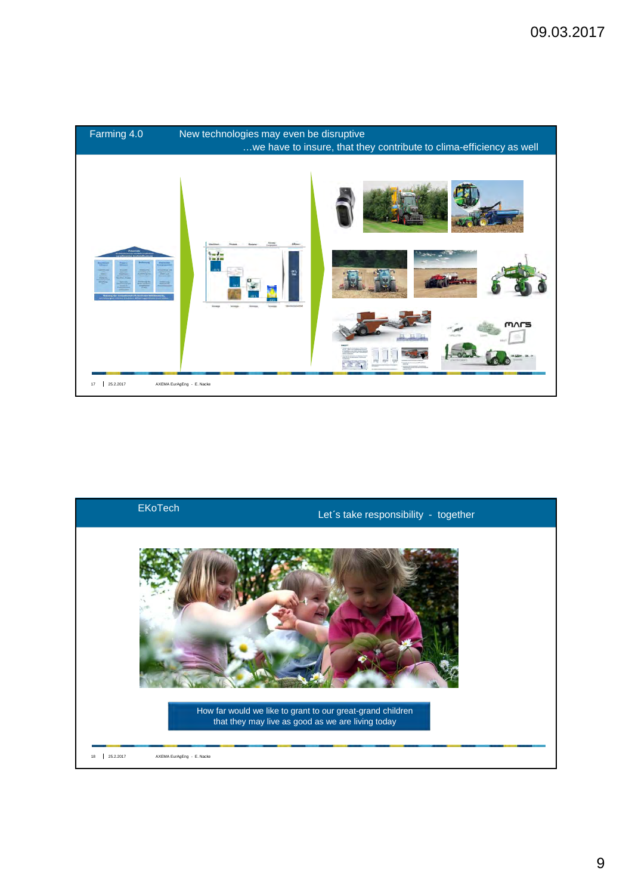



9